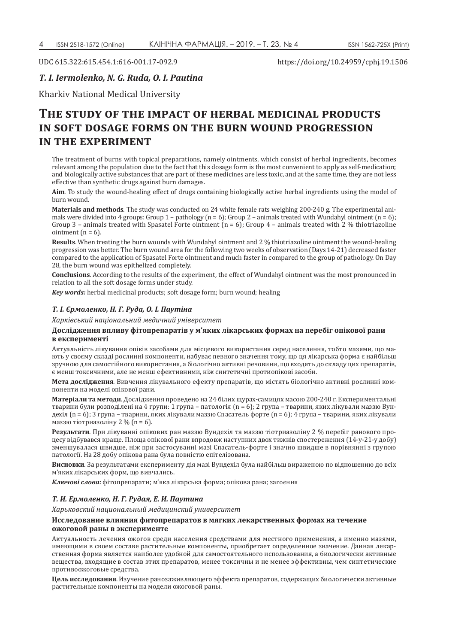# *T. I. Iermolenko, N. G. Ruda, O. I. Pautina*

Kharkiv National Medical University

# **The study of the impact of herbal medicinal products in soft dosage forms on the burn wound progression in the experiment**

The treatment of burns with topical preparations, namely ointments, which consist of herbal ingredients, becomes relevant among the population due to the fact that this dosage form is the most convenient to apply as self-medication; and biologically active substances that are part of these medicines are less toxic, and at the same time, they are not less effective than synthetic drugs against burn damages.

**Aim**. To study the wound-healing effect of drugs containing biologically active herbal ingredients using the model of burn wound.

**Materials and methods**. The study was conducted on 24 white female rats weighing 200-240 g. The experimental animals were divided into 4 groups: Group 1 – pathology (n = 6); Group 2 – animals treated with Wundahyl ointment (n = 6); Group 3 – animals treated with Spasatel Forte ointment  $(n = 6)$ ; Group 4 – animals treated with 2 % thiotriazoline ointment ( $n = 6$ ).

**Results**. When treating the burn wounds with Wundahyl ointment and 2 % thiotriazoline ointment the wound-healing progression was better. The burn wound area for the following two weeks of observation (Days 14-21) decreased faster compared to the application of Spasatel Forte ointment and much faster in compared to the group of pathology. On Day 28, the burn wound was epithelized completely.

**Conclusions**. According to the results of the experiment, the effect of Wundahyl ointment was the most pronounced in relation to all the soft dosage forms under study.

*Key words:* herbal medicinal products; soft dosage form; burn wound; healing

# *Т. І. Єрмоленко, Н. Г. Руда, О. І. Паутіна*

*Харківський національний медичний університет*

## **Дослідження впливу фітопрепаратів у м'яких лікарських формах на перебіг опікової рани в експерименті**

Актуальність лікування опіків засобами для місцевого використання серед населення, тобто мазями, що мають у своєму складі рослинні компоненти, набуває певного значення тому, що ця лікарська форма є найбільш зручною для самостійного використання, а біологічно активні речовини, що входять до складу цих препаратів, є менш токсичними, але не менш ефективними, ніж синтетичні протиопікові засоби.

**Мета дослідження**. Вивчення лікувального ефекту препаратів, що містять біологічно активні рослинні компоненти на моделі опікової рани.

**Матеріали та методи**. Дослідження проведено на 24 білих щурах-самицях масою 200-240 г. Експериментальні тварини були розподілені на 4 групи: 1 група – патологія (n = 6); 2 група – тварини, яких лікували маззю Вундехіл (n = 6); 3 група – тварини, яких лікували маззю Спасатель форте (n = 6); 4 група – тварини, яких лікували маззю тіотриазоліну 2 % (n = 6).

**Результати**. При лікуванні опікових ран маззю Вундехіл та маззю тіотриазоліну 2 % перебіг ранового процесу відбувався краще. Площа опікової рани впродовж наступних двох тижнів спостереження (14-у-21-у добу) зменшувалася швидше, ніж при застосуванні мазі Спасатель-форте і значно швидше в порівнянні з групою патології. На 28 добу опікова рана була повністю епітелізована.

**Висновки**. За результатами експерименту дія мазі Вундехіл була найбільш вираженою по відношенню до всіх м'яких лікарських форм, що вивчались.

*Ключові слова:* фітопрепарати; м'яка лікарська форма; опікова рана; загоєння

# *Т. И. Ермоленко, Н. Г. Рудая, Е. И. Паутина*

*Харьковский национальный медицинский университет*

#### **Исследование влияния фитопрепаратов в мягких лекарственных формах на течение ожоговой раны в эксперименте**

Актуальность лечения ожогов среди населения средствами для местного применения, а именно мазями, имеющими в своем составе растительные компоненты, приобретает определенное значение. Данная лекарственная форма является наиболее удобной для самостоятельного использования, а биологически активные вещества, входящие в состав этих препаратов, менее токсичны и не менее эффективны, чем синтетические противоожоговые средства.

**Цель исследования**. Изучение ранозаживляющего эффекта препаратов, содержащих биологически активные растительные компоненты на модели ожоговой раны.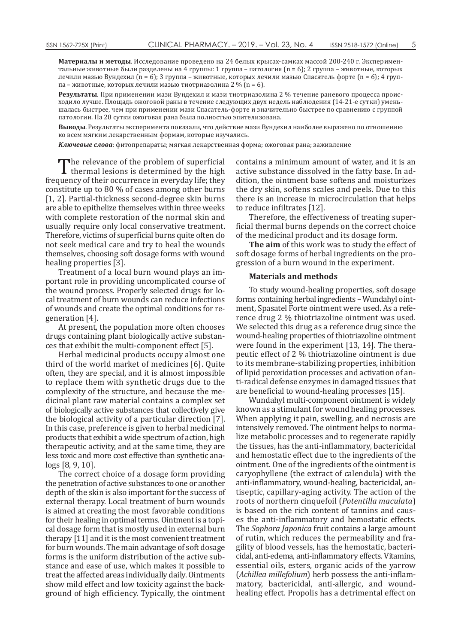**Материалы и методы**. Исследование проведено на 24 белых крысах-самках массой 200-240 г. Экспериментальные животные были разделены на 4 группы: 1 группа – патология (n = 6); 2 группа – животные, которых лечили мазью Вундехил (n = 6); 3 группа – животные, которых лечили мазью Спасатель форте (n = 6); 4 группа – животные, которых лечили мазью тиотриазолина 2 % (n = 6).

**Результаты**. При применении мази Вундехил и мази тиотриазолина 2 % течение раневого процесса происходило лучше. Площадь ожоговой раны в течение следующих двух недель наблюдения (14-21-е сутки) уменьшалась быстрее, чем при применении мази Спасатель-форте и значительно быстрее по сравнению с группой патологии. На 28 сутки ожоговая рана была полностью эпителизована.

**Выводы**. Результаты эксперимента показали, что действие мази Вундехил наиболее выражено по отношению ко всем мягким лекарственным формам, которые изучались.

*Ключевые слова*: фитопрепараты; мягкая лекарственная форма; ожоговая рана; заживление

The relevance of the problem of superficial<br>thermal lesions is determined by the high<br>quency of their occurrence in everyday life; they frequency of their occurrence in everyday life; they constitute up to 80 % of cases among other burns [1, 2]. Partial-thickness second-degree skin burns are able to epithelize themselves within three weeks with complete restoration of the normal skin and usually require only local conservative treatment. Therefore, victims of superficial burns quite often do not seek medical care and try to heal the wounds themselves, choosing soft dosage forms with wound healing properties [3].

Treatment of a local burn wound plays an important role in providing uncomplicated course of the wound process. Properly selected drugs for local treatment of burn wounds can reduce infections of wounds and create the optimal conditions for regeneration [4].

At present, the population more often chooses drugs containing plant biologically active substances that exhibit the multi-component effect [5].

Herbal medicinal products occupy almost one third of the world market of medicines [6]. Quite often, they are special, and it is almost impossible to replace them with synthetic drugs due to the complexity of the structure, and because the medicinal plant raw material contains a complex set of biologically active substances that collectively give the biological activity of a particular direction [7]. In this case, preference is given to herbal medicinal products that exhibit a wide spectrum of action, high therapeutic activity, and at the same time, they are less toxic and more cost effective than synthetic analogs [8, 9, 10].

The correct choice of a dosage form providing the penetration of active substances to one or another depth of the skin is also important for the success of external therapy. Local treatment of burn wounds is aimed at creating the most favorable conditions for their healing in optimal terms. Ointment is a topical dosage form that is mostly used in external burn therapy [11] and it is the most convenient treatment for burn wounds. The main advantage of soft dosage forms is the uniform distribution of the active substance and ease of use, which makes it possible to treat the affected areas individually daily. Ointments show mild effect and low toxicity against the background of high efficiency. Typically, the ointment

contains a minimum amount of water, and it is an active substance dissolved in the fatty base. In addition, the ointment base softens and moisturizes the dry skin, softens scales and peels. Due to this there is an increase in microcirculation that helps to reduce infiltrates [12].

Therefore, the effectiveness of treating superficial thermal burns depends on the correct choice of the medicinal product and its dosage form.

**The aim** of this work was to study the effect of soft dosage forms of herbal ingredients on the progression of a burn wound in the experiment.

#### **Materials and methods**

To study wound-healing properties, soft dosage forms containing herbal ingredients – Wundahyl ointment, Spasatel Forte ointment were used. As a reference drug 2 % thiotriazoline ointment was used. We selected this drug as a reference drug since the wound-healing properties of thiotriazoline ointment were found in the experiment [13, 14]. The therapeutic effect of 2 % thiotriazoline ointment is due to its membrane-stabilizing properties, inhibition of lipid peroxidation processes and activation of anti-radical defense enzymes in damaged tissues that are beneficial to wound-healing processes [15].

Wundahyl multi-component ointment is widely known as a stimulant for wound healing processes. When applying it pain, swelling, and necrosis are intensively removed. The ointment helps to normalize metabolic processes and to regenerate rapidly the tissues, has the anti-inflammatory, bactericidal and hemostatic effect due to the ingredients of the ointment. One of the ingredients of the ointment is caryophyllene (the extract of calendula) with the anti-inflammatory, wound-healing, bactericidal, antiseptic, capillary-aging activity. The action of the roots of northern cinquefoil (*Potentilla maculata*) is based on the rich content of tannins and causes the anti-inflammatory and hemostatic effects. The *Sophora Japonica* fruit contains a large amount of rutin, which reduces the permeability and fragility of blood vessels, has the hemostatic, bactericidal, anti-edema, anti-inflammatory effects. Vitamins, essential oils, esters, organic acids of the yarrow (*Achillea millefolium*) herb possess the anti-inflammatory, bactericidal, anti-allergic, and woundhealing effect. Propolis has a detrimental effect on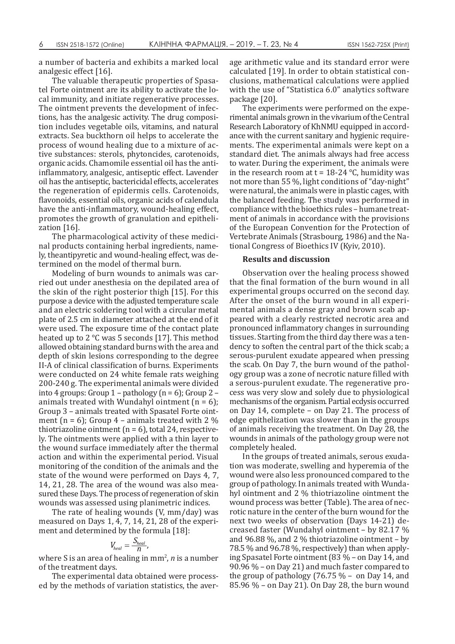a number of bacteria and exhibits a marked local analgesic effect [16].

The valuable therapeutic properties of Spasatel Forte ointment are its ability to activate the local immunity, and initiate regenerative processes. The ointment prevents the development of infections, has the analgesic activity. The drug composition includes vegetable oils, vitamins, and natural extracts. Sea buckthorn oil helps to accelerate the process of wound healing due to a mixture of active substances: sterols, phytoncides, carotenoids, organic acids. Chamomile essential oil has the antiinflammatory, analgesic, antiseptic effect. Lavender oil has the antiseptic, bactericidal effects, accelerates the regeneration of epidermis cells. Carotenoids, flavonoids, essential oils, organic acids of calendula have the anti-inflammatory, wound-healing effect, promotes the growth of granulation and epithelization [16].

The pharmacological activity of these medicinal products containing herbal ingredients, namely, theantipyretic and wound-healing effect, was determined on the model of thermal burn.

Modeling of burn wounds to animals was carried out under anesthesia on the depilated area of the skin of the right posterior thigh [15]. For this purpose a device with the adjusted temperature scale and an electric soldering tool with a circular metal plate of 2.5 cm in diameter attached at the end of it were used. The exposure time of the contact plate heated up to 2 °C was 5 seconds [17]. This method allowed obtaining standard burns with the area and depth of skin lesions corresponding to the degree II-А of clinical classification of burns. Experiments were conducted on 24 white female rats weighing 200-240 g. The experimental animals were divided into 4 groups: Group 1 – pathology (n = 6); Group 2 – animals treated with Wundahyl ointment  $(n = 6)$ ; Group 3 – animals treated with Spasatel Forte ointment ( $n = 6$ ); Group 4 – animals treated with 2 % thiotriazoline ointment  $(n = 6)$ , total 24, respectively. The ointments were applied with a thin layer to the wound surface immediately after the thermal action and within the experimental period. Visual monitoring of the condition of the animals and the state of the wound were performed on Days 4, 7, 14, 21, 28. The area of the wound was also measured these Days. The process of regeneration of skin wounds was assessed using planimetric indices.

The rate of healing wounds (V, mm/day) was measured on Days 1, 4, 7, 14, 21, 28 of the experiment and determined by the formula [18]:

$$
V_{\text{heal}} = \frac{S_{\text{heal}}}{n},
$$

where S is an area of healing in mm<sup>2</sup>, *n* is a number of the treatment days.

The experimental data obtained were processed by the methods of variation statistics, the average arithmetic value and its standard error were calculated [19]. In order to obtain statistical conclusions, mathematical calculations were applied with the use of "Statistica 6.0" analytics software package [20].

The experiments were performed on the experimental animals grown in the vivarium of the Central Research Laboratory of KhNMU equipped in accordance with the current sanitary and hygienic requirements. The experimental animals were kept on a standard diet. The animals always had free access to water. During the experiment, the animals were in the research room at  $t = 18-24$  °C, humidity was not more than 55 %, light conditions of "day-night" were natural, the animals were in plastic cages, with the balanced feeding. The study was performed in compliance with the bioethics rules – humane treatment of animals in accordance with the provisions of the European Convention for the Protection of Vertebrate Animals (Strasbourg, 1986) and the National Congress of Bioethics IV (Kyiv, 2010).

### **Results and discussion**

Observation over the healing process showed that the final formation of the burn wound in all experimental groups occurred on the second day. After the onset of the burn wound in all experimental animals a dense gray and brown scab appeared with a clearly restricted necrotic area and pronounced inflammatory changes in surrounding tissues. Starting from the third day there was a tendency to soften the central part of the thick scab; a serous-purulent exudate appeared when pressing the scab. On Day 7, the burn wound of the pathology group was a zone of necrotic nature filled with a serous-purulent exudate. The regenerative process was very slow and solely due to physiological mechanisms of the organism. Partial ecdysis occurred on Day 14, complete – on Day 21. The process of edge epithelization was slower than in the groups of animals receiving the treatment. On Day 28, the wounds in animals of the pathology group were not completely healed.

In the groups of treated animals, serous exudation was moderate, swelling and hyperemia of the wound were also less pronounced compared to the group of pathology. In animals treated with Wundahyl ointment and 2 % thiotriazoline ointment the wound process was better (Table). The area of necrotic nature in the center of the burn wound for the next two weeks of observation (Days 14-21) decreased faster (Wundahyl ointment – by 82.17 % and 96.88 %, and 2 % thiotriazoline ointment – by 78.5 % and 96.78 %, respectively) than when applying Spasatel Forte ointment (83 % – on Day 14, and 90.96 % – on Day 21) and much faster compared to the group of pathology  $(76.75\% - \text{on Day }14, \text{and}$ 85.96 % – on Day 21). On Day 28, the burn wound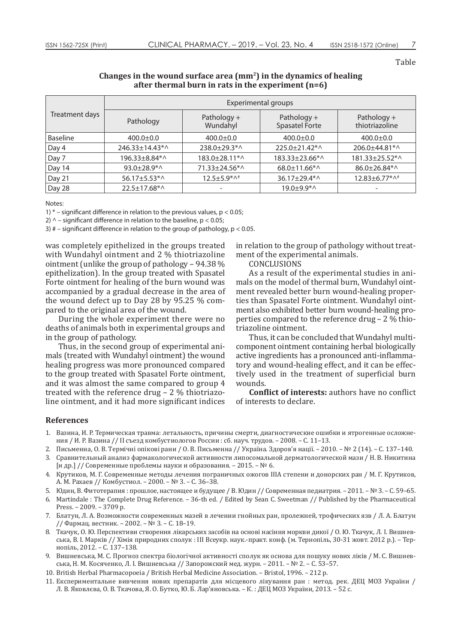Table

## **Changes in the wound surface area (mm2) in the dynamics of healing after thermal burn in rats in the experiment (n=6)**

| Treatment days  | <b>Experimental groups</b>  |                             |                                      |                               |
|-----------------|-----------------------------|-----------------------------|--------------------------------------|-------------------------------|
|                 | Pathology                   | Pathology +<br>Wundahyl     | Pathology +<br><b>Spasatel Forte</b> | Pathology +<br>thiotriazoline |
| <b>Baseline</b> | $400.0 \pm 0.0$             | $400.0 \pm 0.0$             | $400.0 \pm 0.0$                      | $400.0 \pm 0.0$               |
| Day 4           | 246.33±14.43*^              | $238.0+29.3*$               | $225.0 \pm 21.42$ *^                 | $206.0 + 44.81$ <sup>*</sup>  |
| Day 7           | 196.33±8.84*^               | 183.0±28.11*^               | 183.33±23.66*^                       | 181.33±25.52*^                |
| Day 14          | $93.0 \pm 28.9$ * $\wedge$  | 71.33±24.56*^               | $68.0 \pm 11.66$ * $\wedge$          | $86.0\pm26.84**$              |
| Day 21          | $56.17 \pm 5.53$ *^         | $12.5 \pm 5.9$ * $\wedge$ * | 36.17±29.4*^                         | $12.83 \pm 6.77$ * $\wedge$ * |
| Day 28          | $22.5 \pm 17.68$ * $\wedge$ |                             | $19.0 + 9.9$ * $\land$               |                               |

Notes:

1)  $*$  – significant difference in relation to the previous values,  $p < 0.05$ ;

2)  $\land$  – significant difference in relation to the baseline, p < 0.05;

3)  $#$  – significant difference in relation to the group of pathology,  $p < 0.05$ .

was completely epithelized in the groups treated with Wundahyl ointment and 2 % thiotriazoline ointment (unlike the group of pathology – 94.38 % epithelization). In the group treated with Spasatel Forte ointment for healing of the burn wound was accompanied by a gradual decrease in the area of the wound defect up to Day 28 by 95.25 % compared to the original area of the wound.

During the whole experiment there were no deaths of animals both in experimental groups and in the group of pathology.

Thus, in the second group of experimental animals (treated with Wundahyl ointment) the wound healing progress was more pronounced compared to the group treated with Spasatel Forte ointment, and it was almost the same compared to group 4 treated with the reference drug – 2 % thiotriazoline ointment, and it had more significant indices in relation to the group of pathology without treatment of the experimental animals.

CONCLUSIONS

As a result of the experimental studies in animals on the model of thermal burn, Wundahyl ointment revealed better burn wound-healing properties than Spasatel Forte ointment. Wundahyl ointment also exhibited better burn wound-healing properties compared to the reference drug – 2 % thiotriazoline ointment.

Thus, it can be concluded that Wundahyl multicomponent ointment containing herbal biologically active ingredients has a pronounced anti-inflammatory and wound-healing effect, and it can be effectively used in the treatment of superficial burn wounds.

**Conflict of interests:** authors have no conflict of interests to declare.

#### **References**

- 1. Вазина, И. Р. Термическая травма: летальность, причины смерти, диагностические ошибки и ятрогенные осложнения / И. Р. Вазина // II съезд комбустиологов России : сб. науч. трудов. – 2008. – С. 11–13.
- 2. Письменна, О. В. Термічні опікові рани / О. В. Письменна // Україна. Здоров'я нації. 2010. № 2 (14). С. 137–140.
- 3. Cравнительный анализ фармакологической активности липосомальной дерматологической мази / Н. В. Никитина [и др.] // Современные проблемы науки и образования. – 2015. – № 6.
- 4. Крутиков, М. Г. Современные методы лечения пограничных ожогов IIIА степени и донорских ран / М. Г. Крутиков, А. М. Рахаев // Комбустиол. – 2000. – № 3. – С. 36–38.
- 5. Юдин, В. Фитотерапия : прошлое, настоящее и будущее / В. Юдин // Современная педиатрия. 2011. № 3. С. 59–65.
- 6. Martindale : The Complete Drug Reference. 36-th ed. / Edited by Sean C. Sweetman // Published by the Pharmaceutical Press. – 2009. – 3709 p.
- 7. Блатун, Л. А. Возможности современных мазей в лечении гнойных ран, пролежней, трофических язв / Л. А. Блатун // Фармац. вестник. – 2002. – № 3. – С. 18–19.
- 8. Ткачук, О. Ю. Перспективи створення лікарських засобів на основі насіння моркви дикої / О. Ю. Ткачук, Л. І. Вишневська, В. І. Марків // Хімія природних сполук : ІІІ Всеукр. наук.-практ. конф. (м. Тернопіль, 30-31 жовт. 2012 р.). – Тернопіль, 2012. – С. 137–138.
- 9. Вишневська, М. С. Прогноз спектра біологічної активності сполук як основа для пошуку нових ліків / М. С. Вишневська, Н. М. Косяченко, Л. І. Вишневська // Запорожский мед. журн. – 2011. – № 2. – С. 53–57.
- 10. British Herbal Pharmacopoeia / British Herbal Medicine Association. Bristol, 1996. 212 р.
- 11. Експериментальне вивчення нових препаратів для місцевого лікування ран : метод. рек. ДЕЦ МОЗ України / Л. В. Яковлєва, О. В. Ткачова, Я. О. Бутко, Ю. Б. Лар'яновська. – К. : ДЕЦ МОЗ України, 2013. – 52 с.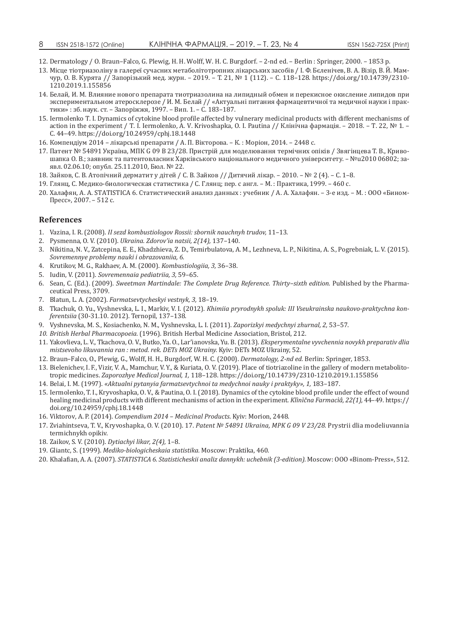- 12. Dermatology / O. Braun–Falco, G. Plewіg, H. H. Wolff, W. H. C. Burgdorf. 2-nd ed. Berlіn : Sprіnger, 2000. 1853 p.
- 13. Місце тіотриазоліну в галереї сучасних метаболітотропних лікарських засобів / І. Ф. Бєленічев, В. А. Візір, В. Й. Мамчур, О. В. Курята // Запорізький мед. журн. – 2019. – Т. 21, № 1 (112). – С. 118–128. https://doi.org/10.14739/2310- 1210.2019.1.155856
- 14. Белай, И. М. Влияние нового препарата тиотриазолина на липидный обмен и перекисное окисление липидов при экспериментальном атеросклерозе / И. М. Белай // «Актуальні питания фармацевтичної та медичної науки і практики» : зб. наук. ст. – Запоріжжя, 1997. – Вип. 1. – С. 183–187.
- 15. Iermolenko T. I. Dynamics of cytokine blood profile affected by vulnerary medicinal products with different mechanisms of action in the experiment / T. I. Iermolenko, A. V. Krivoshapka, O. I. Pautina // Клінічна фармація. – 2018. – T. 22, № 1. – С. 44–49. https://doi.org/10.24959/cphj.18.1448
- 16. Компендіум 2014 лікарські препарати / А. П. Вікторова. К. : Моріон, 2014. 2448 с.
- 17. Патент № 54891 Україна, МПК G 09 В 23/28. Пристрій для моделювання термічних опіків / Звягінцева Т. В., Кривошапка О. В.; заявник та патентовласник Харківського національного медичного університету. – №u2010 06802; заявл. 02.06.10; опубл. 25.11.2010, Бюл. № 22.
- 18. Зайков, С. В. Атопічний дерматит у дітей / С. В. Зайков // Дитячий лікар. 2010. № 2 (4). С. 1–8.
- 19. Глянц, С. Медико-биологическая статистика / С. Глянц; пер. с англ. М. : Практика, 1999. 460 с.
- 20. Халафян, А. А. STATISTICA 6. Статистический анализ данных : учебник / А. А. Халафян. 3-е изд. М. : ООО «Бином-Пресс», 2007. – 512 с.

## **References**

- 1. Vazina, I. R. (2008). *II sezd kombustiologov Rossii: sbornik nauchnyh trudov,* 11–13.
- 2. Pysmenna, O. V. (2010). *Ukraina. Zdorov'ia natsii, 2(14),* 137–140.
- 3. Nikitina, N. V., Zatcepina, E. E., Khadzhieva, Z. D., Temirbulatova, A. M., Lezhneva, L. P., Nikitina, A. S., Pogrebniak, L. V. (2015). *Sovremennye problemy nauki i obrazovaniia, 6.*
- 4. Krutikov, M. G., Rakhaev, A. M. (2000). *Kombustiologiia, 3,* 36–38.
- 5. Iudin, V. (2011). *Sovremennaia pediatriia, 3,* 59–65.
- 6. Sean, C. (Ed.). (2009). *Sweetman Martindale: The Complete Drug Reference. Thirty–sixth edition.* Published by the Pharmaceutical Press, 3709.
- 7. Blatun, L. A. (2002). *Farmatsevtycheskyi vestnyk, 3,* 18–19.
- 8. Tkachuk, O. Yu., Vyshnevska, L. I., Markiv, V. I. (2012). *Khimiia pryrodnykh spoluk: III Vseukrainska naukovo-praktychna konferentsiia* (30-31.10. 2012). Ternopil, 137–138.
- 9. Vyshnevska, M. S., Kosiachenko, N. M., Vyshnevska, L. I. (2011). *Zaporizkyi medychnyi zhurnal, 2,* 53–57.
- *10. British Herbal Pharmacopoeia.* (1996). British Herbal Medicine Association, Bristol, 212.
- 11. Yakovlieva, L. V., Tkachova, O. V., Butko, Ya. O., Lar'ianovska, Yu. B. (2013). *Eksperymentalne vyvchennia novykh preparativ dlia mistsevoho likuvannia ran : metod. rek. DETs MOZ Ukrainy.* Kyiv: DETs MOZ Ukrainy, 52.
- 12. Braun–Falco, O., Plewig, G., Wolff, H. H., Burgdorf, W. H. C. (2000). *Dermatology, 2-nd ed.* Berlin: Springer, 1853.
- 13. Bielenichev, I. F., Vizir, V. A., Mamchur, V. Y., & Kuriata, O. V. (2019). Place of tiotriazoline in the gallery of modern metabolitotropic medicines. *Zaporozhye Medical Journal, 1,* 118–128. https://doi.org/10.14739/2310-1210.2019.1.155856
- 14. Belai, I. M. (1997). «Aktualni pytanyia farmatsevtychnoi ta medychnoi nauky i praktyky», 1, 183-187.
- 15. Iermolenko, T. I., Kryvoshapka, O. V., & Pautina, O. I. (2018). Dynamics of the cytokine blood profile under the effect of wound healing medicinal products with different mechanisms of action in the experiment. *Klìnìčna Farmacìâ, 22(1),* 44–49. https:// doi.org/10.24959/cphj.18.1448
- 16. Viktorov, A. P. (2014). *Compendium 2014 Medicinal Products*. Kyiv: Morion, 2448.
- 17. Zviahintseva, T. V., Kryvoshapka, O. V. (2010). 17. *Patent № 54891 Ukraina, MPK G 09 V 23/28.* Prystrii dlia modeliuvannia termichnykh opikiv.
- 18. Zaikov, S. V. (2010). *Dytiachyi likar, 2(4),* 1–8.
- 19. Gliantc, S. (1999). *Mediko-biologicheskaia statistika.* Moscow: Praktika, 460.
- 20. Khalafian, A. A. (2007). *STATISTICA 6. Statisticheskii analiz dannykh: uchebnik (3-edition).* Moscow: OOO «Binom-Press», 512.